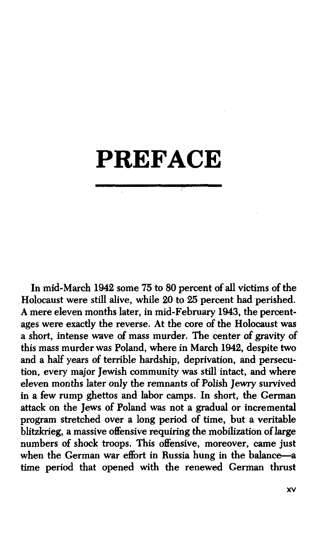## **PREFACE**

In mid-March 1942 some 75 to 80 percent of all victims of the Holocaust were still alive, while 20 to 25 percent had perished. A mere eleven months later, in mid-February 1943, the percentages were exactly the reverse. At the core of the Holocaust was a short, intense wave of mass murder. The center of gravity of this mass murder was Poland, where in March 1942, despite two and a half years of terrible hardship, deprivation, and persecution, every major Jewish community was still intact, and where eleven months later only the remnants of Polish Jewry survived in a few rump ghettos and labor camps. In short, the German attack on the Jews of Poland was not a gradual or incremental program stretched over a long period of time, but a veritable blitzkrieg, a massive offensive requiring the mobilization of large numbers of shock troops. This offensive, moreover, came just when the German war effort in Russia hung in the balance—a time period that opened with the renewed German thrust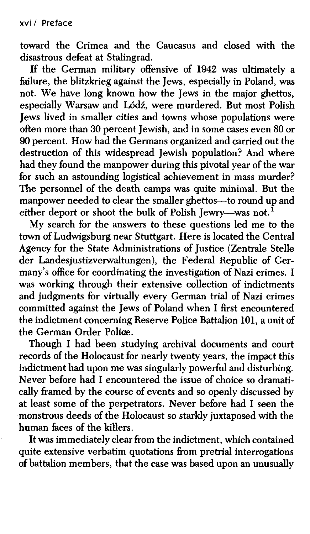toward the Crimea and the Caucasus and closed with the disastrous defeat at Stalingrad.

If the German military offensive of 1942 was ultimately a failure, the blitzkrieg against the Jews, especially in Poland, was not. We have long known how the Jews in the major ghettos, especially Warsaw and *L6di,* were murdered. But most Polish Jews lived in smaller cities and towns whose populations were often more than 30 percent Jewish, and in some cases even 80 or 90 percent. How had the Germans organized and carried out the destruction of this widespread Jewish population? And where had they found the manpower during this pivotal year of the war for such an astounding logistical achievement in mass murder? The personnel of the death camps was quite minimal. But the manpower needed to clear the smaller ghettos—to round up and either deport or shoot the bulk of Polish Jewry—was not.<sup>1</sup>

My search for the answers to these questions led me to the town of Ludwigsburg near Stuttgart. Here is located the Central Agency for the State Administrations of Justice (Zentrale Stelle der Landesjustizverwaltungen), the Federal Republic of Germany's office for coordinating the investigation of Nazi crimes. I was working through their extensive collection of indictments and judgments for virtually every German trial of Nazi crimes committed against the Jews of Poland when I first encountered the indictment concerning Reserve Police Battalion 101, a unit of the German Order Police.

Though I had been studying archival documents and court records of the Holocaust for nearly twenty years, the impact this indictment had upon me was singularly powerful and disturbing. Never before had I encountered the issue of choice so dramatically framed by the course of events and so openly discussed by at least some of the perpetrators. Never before had I seen the monstrous deeds of the Holocaust so starkly juxtaposed with the human faces of the killers.

It was immediately clear from the indictment, which contained quite extensive verbatim quotations from pretrial interrogations of battalion members, that the case was based upon an unusually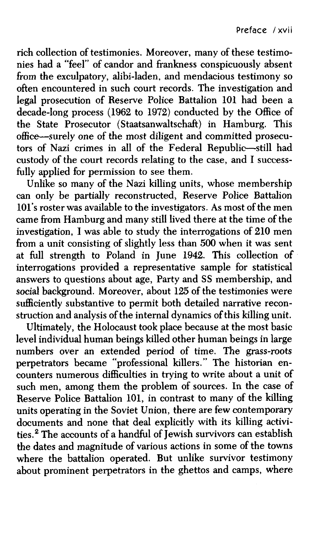rich collection of testimonies. Moreover, many of these testimonies had a "feel" of candor and frankness conspicuously absent from the exculpatory, alibi-laden, and mendacious testimony so often encountered in such court records. The investigation and legal prosecution of Reserve Police Battalion 101 had been a decade-long process (1962 to 1972) conducted by the Office of the State Prosecutor (Staatsanwaltschaft) in Hamburg. This office—surely one of the most diligent and committed prosecutors of Nazi crimes in all of the Federal Republic—still had custody of the court records relating to the case, and I successfully applied for permission to see them.

Unlike so many of the Nazi killing units, whose membership can only be partially reconstructed, Reserve Police Battalion 101's roster was available to the investigators. As most of the men came from Hamburg and many still lived there at the time of the investigation, I was able to study the interrogations of 210 men from a unit consisting of slightly less than 500 when it was sent at full strength to Poland in June 1942. This collection of interrogations provided a representative sample for statistical answers to questions about age, Party and SS membership, and social background. Moreover, about 125 of the testimonies were sufficiently substantive to permit both detailed narrative reconstruction and analysis of the internal dynamics of this killing unit.

Ultimately, the Holocaust took place because at the most basic level individual human beings killed other human beings in large numbers over an extended period of time. The grass-roots perpetrators became "professional killers." The historian encounters numerous difficulties in trying to write about a unit of such men, among them the problem of sources. In the case of Reserve Police Battalion 101, in contrast to many of the killing units operating in the Soviet Union, there are few contemporary documents and none that deal explicitly with its killing activities.2 The accounts of a handful of Jewish survivors can establish the dates and magnitude of various actions in some of the towns where the battalion operated. But unlike survivor testimony about prominent perpetrators in the ghettos and camps, where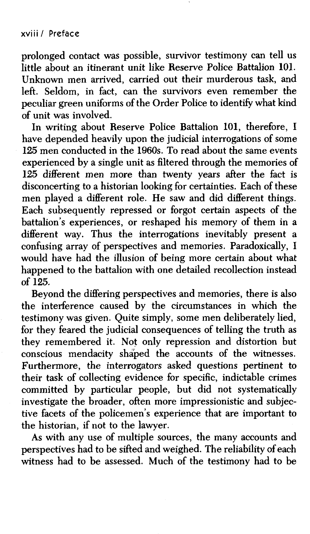prolonged contact was possible, survivor testimony can tell us little about an itinerant unit like Reserve Police Battalion 101. Unknown men arrived, carried out their murderous task, and left. Seldom, in fact, can the survivors even remember the peculiar green uniforms of the Order Police to identify what kind of unit was involved.

In writing about Reserve Police Battalion 101, therefore, I have depended heavily upon the judicial interrogations of some 125 men conducted in the 1960s. To read about the same events experienced by a single unit as filtered through the memories of 125 different men more than twenty years after the fact is disconcerting to a historian looking for certainties. Each of these men played a different role. He saw and did different things. Each subsequently repressed or forgot certain aspects of the battalion's experiences, or reshaped his memory of them in a different way. Thus the interrogations inevitably present a confusing array of perspectives and memories. Paradoxically, I would have had the illusion of being more certain about what happened to the battalion with one detailed recollection instead of 125.

Beyond the differing perspectives and memories, there is also the interference caused by the circumstances in which the testimony was given. Quite simply, some men deliberately lied, for they feared the judicial consequences of telling the truth as they remembered it. Not only repression and distortion but conscious mendacity shaped the accounts of the witnesses. Furthermore, the interrogators asked questions pertinent to their task of collecting evidence for specific, indictable crimes committed by particular people, but did not systematically investigate the broader, often more impressionistic and subjective facets of the policemen's experience that are important to the historian, if not to the lawyer.

As with any use of multiple sources, the many accounts and perspectives had to be sifted and weighed. The reliability of each witness had to be assessed. Much of the testimony had to be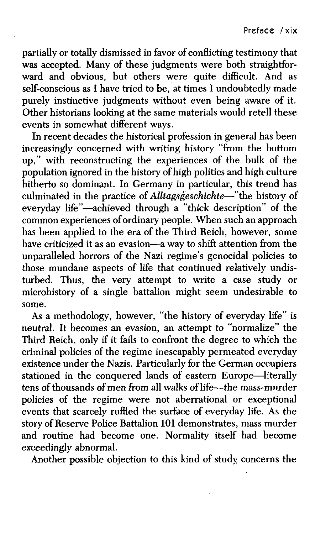partially or totally dismissed in favor of conflicting testimony that was accepted. Many of these judgments were both straightforward and obvious, but others were quite difficult. And as self-conscious as I have tried to be, at times I undoubtedly made purely instinctive judgments without even being aware of it. Other historians looking at the same materials would retell these events in somewhat different ways.

In recent decades the historical profession in general has been increasingly concerned with writing history "from the bottom up," with reconstructing the experiences of the bulk of the population ignored in the history of high politics and high culture hitherto so dominant. In Germany in particular, this trend has culminated in the practice of *Alltagsgeschichte*—''the history of everyday life"—achieved through a "thick description" of the common experiences of ordinary people. When such an approach has been applied to the era of the Third Reich, however, some have criticized it as an evasion—a way to shift attention from the unparalleled horrors of the Nazi regime's genocidal policies to those mundane aspects of life that continued relatively undisturbed. Thus, the very attempt to write a case study or microhistory of a single battalion might seem undesirable to some.

As a methodology, however, "the history of everyday life" is neutral. It becomes an evasion, an attempt to "normalize" the Third Reich, only if it fails to confront the degree to which the criminal policies of the regime inescapably permeated everyday existence under the Nazis. Particularly for the German occupiers stationed in the conquered lands of eastern Europe—literally tens of thousands of men from all walks of life— the mass-murder policies of the regime were not aberrational or exceptional events that scarcely ruffled the surface of everyday life. As the story of Reserve Police Battalion 101 demonstrates, mass murder and routine had become one. Normality itself had become exceedingly abnormal.

Another possible objection to this kind of study concerns the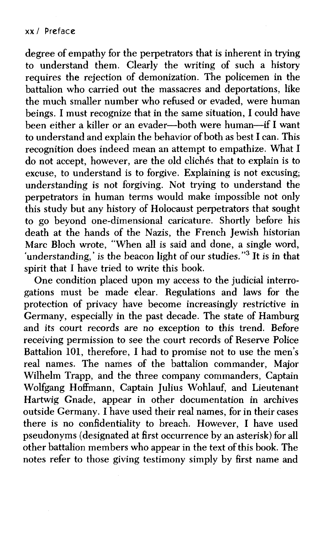#### xx / Preface

degree of empathy for the perpetrators that is inherent in trying to understand them. Clearly the writing of such a history requires the rejection of demonization. The policemen in the battalion who carried out the massacres and deportations, like the much smaller number who refused or evaded, were human beings. I must recognize that in the same situation, I could have been either a killer or an evader—both were human—if I want to understand and explain the behavior of both as best I can. This recognition does indeed mean an attempt to empathize. What I do not accept, however, are the old clichés that to explain is to excuse, to understand is to forgive. Explaining is not excusing; understanding is not forgiving. Not trying to understand the perpetrators in human terms would make impossible not only this study but any history of Holocaust perpetrators that sought to go beyond one-dimensional caricature. Shortly before his death at the hands of the Nazis, the French Jewish historian Marc Bloch wrote, "When all is said and done, a single word, 'understanding,' is the beacon light of our studies."<sup>3</sup> It is in that spirit that I have tried to write this book.

One condition placed upon my access to the judicial interrogations must be made clear. Regulations and laws for the protection of privacy have become increasingly restrictive in Germany, especially in the past decade. The state of Hamburg and its court records are no exception to this trend. Before receiving permission to see the court records of Reserve Police Battalion 101, therefore, I had to promise not to use the men's real names. The names of the battalion commander, Major Wilhelm Trapp, and the three company commanders, Captain Wolfgang Hoffmann, Captain Julius Wohlauf, and Lieutenant Hartwig Gnade, appear in other documentation in archives outside Germany. I have used their real names, for in their cases there is no confidentiality to breach. However, I have used pseudonyms (designated at first occurrence by an asterisk) for all other battalion members who appear in the text of this book. The notes refer to those giving testimony simply by first name and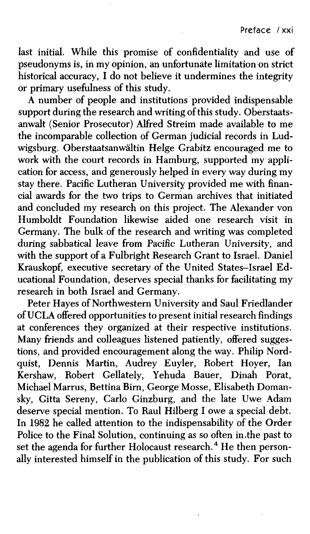Preface /xx¡

last initial. While this promise of confidentiality and use of pseudonyms is, in my opinion, an unfortunate limitation on strict historical accuracy, I do not believe it undermines the integrity or primary usefulness of this study.

A number of people and institutions provided indispensable support during the research and writing of this study. Oberstaatsanwalt (Senior Prosecutor) Alfred Streim made available to me the incomparable collection of German judicial records in Ludwigsburg. Oberstaatsanwàltin Helge Grabitz encouraged me to work with the court records in Hamburg, supported my application for access, and generously helped in every way during my stay there. Pacific Lutheran University provided me with financial awards for the two trips to German archives that initiated and concluded my research on this project. The Alexander von Humboldt Foundation likewise aided one research visit in Germany. The bulk of the research and writing was completed during sabbatical leave from Pacific Lutheran University, and with the support of a Fulbright Research Grant to Israel. Daniel Krauskopf, executive secretary of the United States-Israel Educational Foundation, deserves special thanks for facilitating my research in both Israel and Germany.

Peter Hayes of Northwestern University and Saul Friedlander of UCLA offered opportunities to present initial research findings at conferences they organized at their respective institutions. Many friends and colleagues listened patiently, offered suggestions, and provided encouragement along the way. Philip Nordquist, Dennis Martin, Audrey Euyler, Robert Hoyer, Ian Kershaw, Robert Gellately, Yehuda Bauer, Dinah Porat, Michael Marrus, Bettina Birn, George Mosse, Elisabeth Domansky, Gitta Sereny, Carlo Ginzburg, and the late Uwe Adam deserve special mention. To Raul Hilberg I owe a special debt. In 1982 he called attention to the indispensability of the Order Police to the Final Solution, continuing as so often in.the past to set the agenda for further Holocaust research.<sup>4</sup> He then personally interested himself in the publication of this study. For such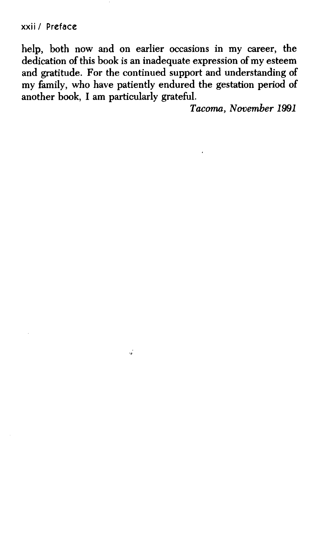xxii / Preface

help, both now and on earlier occasions in my career, the dedication of this book is an inadequate expression of my esteem and gratitude. For the continued support and understanding of my family, who have patiently endured the gestation period of another book, I am particularly grateful.

Ä,

*Tacoma, November 1991*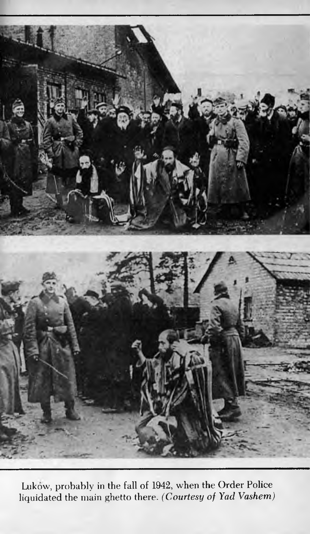

Lukow, probably in the fall of 1942, when the Order Police liquidated the main ghetto there. *(Courtesy of Yad Vashem)*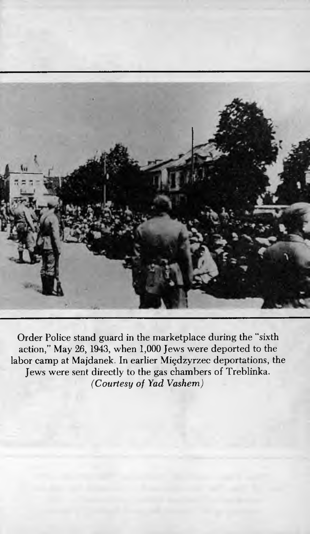

Order Police stand guard in the marketplace during the "sixth action," May 26, 1943, when 1,000 Jews were deported to the labor camp at Majdanek. In earlier Międzyrzec deportations, the Jews were sent directly to the gas chambers of Treblinka. *(Courtesy of Yad Vashem)*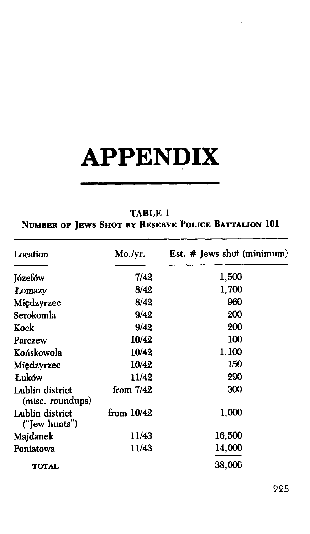# **APPENDIX**

| TABLE 1 |  |  |  |  |  |                                                     |  |
|---------|--|--|--|--|--|-----------------------------------------------------|--|
|         |  |  |  |  |  | NUMBER OF JEWS SHOT BY RESERVE POLICE BATTALION 101 |  |

| Location                            | Mo. / yr.    | Est. $#$ Jews shot (minimum) |  |
|-------------------------------------|--------------|------------------------------|--|
| Józefów                             | 7/42         | 1,500                        |  |
| Lomazy                              | 8/42         | 1,700                        |  |
| Międzyrzec                          | 8/42         | 960                          |  |
| Serokomla                           | 9/42         | 200                          |  |
| Kock                                | 9/42         | 200                          |  |
| Parczew                             | 10/42        | 100                          |  |
| Końskowola                          | 10/42        | 1,100                        |  |
| Międzyrzec                          | 10/42        | 150                          |  |
| Luków                               | 11/42        | 290                          |  |
| Lublin district<br>(misc. roundups) | from $7/42$  | 300                          |  |
| Lublin district<br>("Jew hunts")    | from $10/42$ | 1,000                        |  |
| Majdanek                            | 11/43        | 16,500                       |  |
| Poniatowa                           | 11/43        | 14,000                       |  |
| <b>TOTAL</b>                        |              | <b>38,000</b>                |  |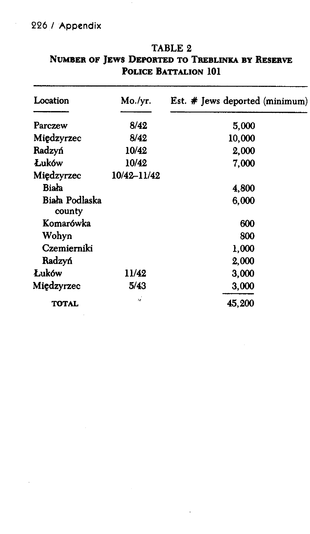| Location                 | Mo./yr.     | Est. $#$ Jews deported (minimum) |
|--------------------------|-------------|----------------------------------|
| Parczew                  | 8/42        | 5.000                            |
| Międzyrzec               | 8/42        | 10,000                           |
| Radzyń                   | 10/42       | 2,000                            |
| Łuków                    | 10/42       | 7,000                            |
| Międzyrzec               | 10/42-11/42 |                                  |
| Biała                    |             | 4,800                            |
| Biała Podlaska<br>county |             | 6,000                            |
| Komarówka                |             | 600                              |
| Wohyn                    |             | 800                              |
| Czemierniki              |             | 1,000                            |
| Radzyń                   |             | 2,000                            |
| Luków                    | 11/42       | 3,000                            |
| Międzyrzec               | 5/43        | 3,000                            |
| <b>TOTAL</b>             | 12          | 45,200                           |

### TABLE 2 NUMBER OF JEWS DEPORTED TO TREBLINKA BY RESERVE POLICE BATTALION 101